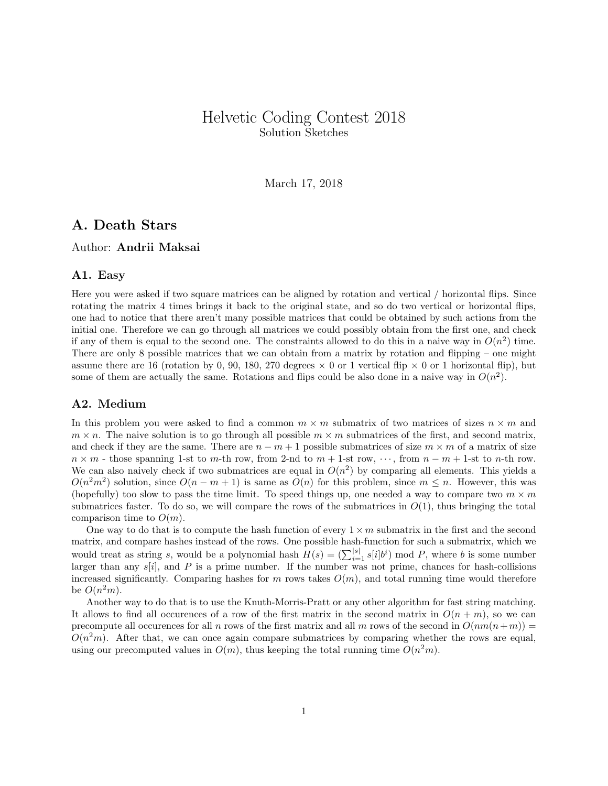# Helvetic Coding Contest 2018 Solution Sketches

March 17, 2018

# A. Death Stars

### Author: Andrii Maksai

### A1. Easy

Here you were asked if two square matrices can be aligned by rotation and vertical / horizontal flips. Since rotating the matrix 4 times brings it back to the original state, and so do two vertical or horizontal flips, one had to notice that there aren't many possible matrices that could be obtained by such actions from the initial one. Therefore we can go through all matrices we could possibly obtain from the first one, and check if any of them is equal to the second one. The constraints allowed to do this in a naive way in  $O(n^2)$  time. There are only 8 possible matrices that we can obtain from a matrix by rotation and flipping – one might assume there are 16 (rotation by 0, 90, 180, 270 degrees  $\times$  0 or 1 vertical flip  $\times$  0 or 1 horizontal flip), but some of them are actually the same. Rotations and flips could be also done in a naive way in  $O(n^2)$ .

### A2. Medium

In this problem you were asked to find a common  $m \times m$  submatrix of two matrices of sizes  $n \times m$  and  $m \times n$ . The naive solution is to go through all possible  $m \times m$  submatrices of the first, and second matrix, and check if they are the same. There are  $n - m + 1$  possible submatrices of size  $m \times m$  of a matrix of size  $n \times m$  - those spanning 1-st to m-th row, from 2-nd to  $m + 1$ -st row,  $\cdots$ , from  $n - m + 1$ -st to n-th row. We can also naively check if two submatrices are equal in  $O(n^2)$  by comparing all elements. This yields a  $O(n^2m^2)$  solution, since  $O(n-m+1)$  is same as  $O(n)$  for this problem, since  $m \leq n$ . However, this was (hopefully) too slow to pass the time limit. To speed things up, one needed a way to compare two  $m \times m$ submatrices faster. To do so, we will compare the rows of the submatrices in  $O(1)$ , thus bringing the total comparison time to  $O(m)$ .

One way to do that is to compute the hash function of every  $1 \times m$  submatrix in the first and the second matrix, and compare hashes instead of the rows. One possible hash-function for such a submatrix, which we would treat as string s, would be a polynomial hash  $H(s) = \left(\sum_{i=1}^{|s|} s[i]b^i\right) \mod P$ , where b is some number larger than any  $s[i]$ , and  $P$  is a prime number. If the number was not prime, chances for hash-collisions increased significantly. Comparing hashes for m rows takes  $O(m)$ , and total running time would therefore be  $O(n^2m)$ .

Another way to do that is to use the Knuth-Morris-Pratt or any other algorithm for fast string matching. It allows to find all occurences of a row of the first matrix in the second matrix in  $O(n + m)$ , so we can precompute all occurences for all n rows of the first matrix and all m rows of the second in  $O(nm(n+m))$  $O(n^2m)$ . After that, we can once again compare submatrices by comparing whether the rows are equal, using our precomputed values in  $O(m)$ , thus keeping the total running time  $O(n^2m)$ .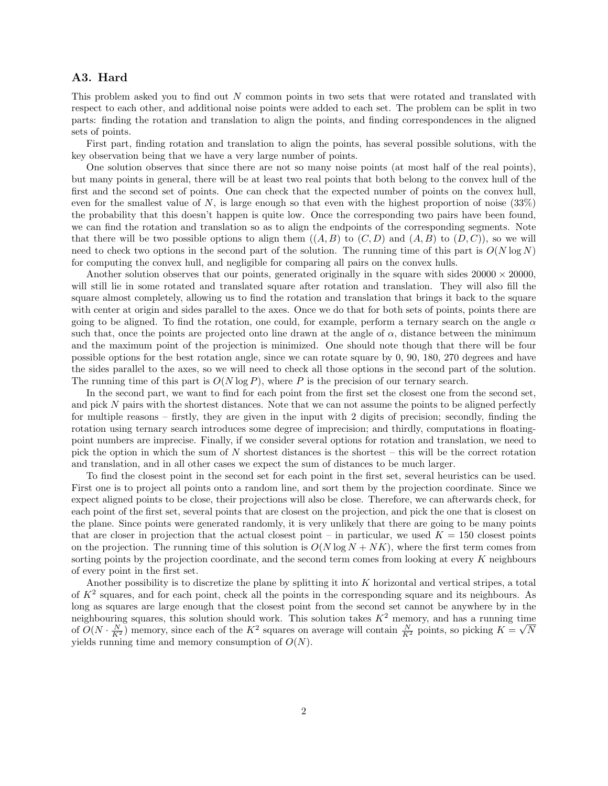### A3. Hard

This problem asked you to find out N common points in two sets that were rotated and translated with respect to each other, and additional noise points were added to each set. The problem can be split in two parts: finding the rotation and translation to align the points, and finding correspondences in the aligned sets of points.

First part, finding rotation and translation to align the points, has several possible solutions, with the key observation being that we have a very large number of points.

One solution observes that since there are not so many noise points (at most half of the real points), but many points in general, there will be at least two real points that both belong to the convex hull of the first and the second set of points. One can check that the expected number of points on the convex hull, even for the smallest value of N, is large enough so that even with the highest proportion of noise  $(33\%)$ the probability that this doesn't happen is quite low. Once the corresponding two pairs have been found, we can find the rotation and translation so as to align the endpoints of the corresponding segments. Note that there will be two possible options to align them  $((A, B)$  to  $(C, D)$  and  $(A, B)$  to  $(D, C)$ ), so we will need to check two options in the second part of the solution. The running time of this part is  $O(N \log N)$ for computing the convex hull, and negligible for comparing all pairs on the convex hulls.

Another solution observes that our points, generated originally in the square with sides  $20000 \times 20000$ . will still lie in some rotated and translated square after rotation and translation. They will also fill the square almost completely, allowing us to find the rotation and translation that brings it back to the square with center at origin and sides parallel to the axes. Once we do that for both sets of points, points there are going to be aligned. To find the rotation, one could, for example, perform a ternary search on the angle  $\alpha$ such that, once the points are projected onto line drawn at the angle of  $\alpha$ , distance between the minimum and the maximum point of the projection is minimized. One should note though that there will be four possible options for the best rotation angle, since we can rotate square by 0, 90, 180, 270 degrees and have the sides parallel to the axes, so we will need to check all those options in the second part of the solution. The running time of this part is  $O(N \log P)$ , where P is the precision of our ternary search.

In the second part, we want to find for each point from the first set the closest one from the second set, and pick N pairs with the shortest distances. Note that we can not assume the points to be aligned perfectly for multiple reasons – firstly, they are given in the input with 2 digits of precision; secondly, finding the rotation using ternary search introduces some degree of imprecision; and thirdly, computations in floatingpoint numbers are imprecise. Finally, if we consider several options for rotation and translation, we need to pick the option in which the sum of N shortest distances is the shortest – this will be the correct rotation and translation, and in all other cases we expect the sum of distances to be much larger.

To find the closest point in the second set for each point in the first set, several heuristics can be used. First one is to project all points onto a random line, and sort them by the projection coordinate. Since we expect aligned points to be close, their projections will also be close. Therefore, we can afterwards check, for each point of the first set, several points that are closest on the projection, and pick the one that is closest on the plane. Since points were generated randomly, it is very unlikely that there are going to be many points that are closer in projection that the actual closest point – in particular, we used  $K = 150$  closest points on the projection. The running time of this solution is  $O(N \log N + NK)$ , where the first term comes from sorting points by the projection coordinate, and the second term comes from looking at every  $K$  neighbours of every point in the first set.

Another possibility is to discretize the plane by splitting it into K horizontal and vertical stripes, a total of  $K^2$  squares, and for each point, check all the points in the corresponding square and its neighbours. As long as squares are large enough that the closest point from the second set cannot be anywhere by in the neighbouring squares, this solution should work. This solution takes  $K^2$  memory, and has a running time of  $O(N \cdot \frac{N}{K^2})$  memory, since each of the  $K^2$  squares on average will contain  $\frac{N}{K^2}$  points, so picking  $K = \sqrt{N}$ yields running time and memory consumption of  $O(N)$ .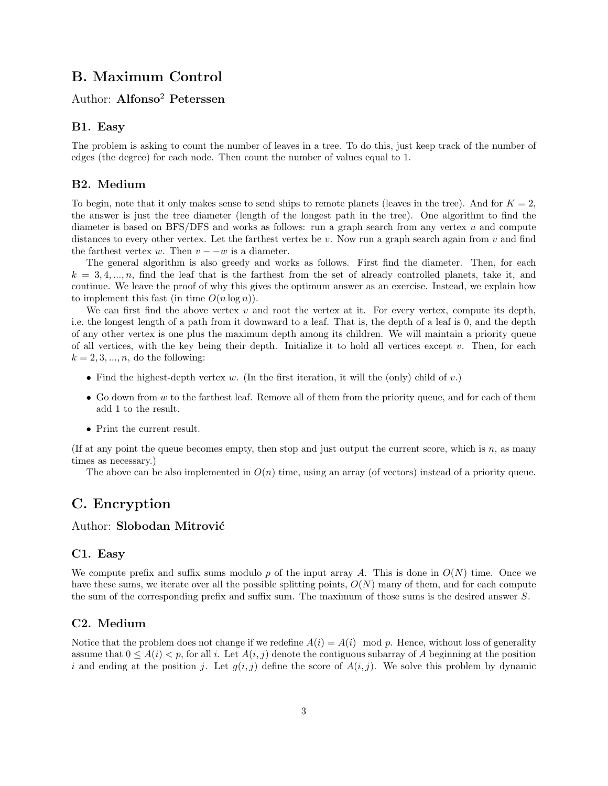## B. Maximum Control

### Author: Alfonso<sup>2</sup> Peterssen

### B1. Easy

The problem is asking to count the number of leaves in a tree. To do this, just keep track of the number of edges (the degree) for each node. Then count the number of values equal to 1.

### B2. Medium

To begin, note that it only makes sense to send ships to remote planets (leaves in the tree). And for  $K = 2$ , the answer is just the tree diameter (length of the longest path in the tree). One algorithm to find the diameter is based on BFS/DFS and works as follows: run a graph search from any vertex u and compute distances to every other vertex. Let the farthest vertex be  $v$ . Now run a graph search again from  $v$  and find the farthest vertex w. Then  $v - -w$  is a diameter.

The general algorithm is also greedy and works as follows. First find the diameter. Then, for each  $k = 3, 4, \ldots, n$ , find the leaf that is the farthest from the set of already controlled planets, take it, and continue. We leave the proof of why this gives the optimum answer as an exercise. Instead, we explain how to implement this fast (in time  $O(n \log n)$ ).

We can first find the above vertex  $v$  and root the vertex at it. For every vertex, compute its depth, i.e. the longest length of a path from it downward to a leaf. That is, the depth of a leaf is 0, and the depth of any other vertex is one plus the maximum depth among its children. We will maintain a priority queue of all vertices, with the key being their depth. Initialize it to hold all vertices except  $v$ . Then, for each  $k = 2, 3, \ldots, n$ , do the following:

- Find the highest-depth vertex w. (In the first iteration, it will the (only) child of  $v$ .)
- Go down from  $w$  to the farthest leaf. Remove all of them from the priority queue, and for each of them add 1 to the result.
- Print the current result.

(If at any point the queue becomes empty, then stop and just output the current score, which is  $n$ , as many times as necessary.)

The above can be also implemented in  $O(n)$  time, using an array (of vectors) instead of a priority queue.

# C. Encryption

### Author: Slobodan Mitrović

#### C1. Easy

We compute prefix and suffix sums modulo p of the input array A. This is done in  $O(N)$  time. Once we have these sums, we iterate over all the possible splitting points,  $O(N)$  many of them, and for each compute the sum of the corresponding prefix and suffix sum. The maximum of those sums is the desired answer S.

### C2. Medium

Notice that the problem does not change if we redefine  $A(i) = A(i) \mod p$ . Hence, without loss of generality assume that  $0 \leq A(i) < p$ , for all i. Let  $A(i, j)$  denote the contiguous subarray of A beginning at the position i and ending at the position j. Let  $g(i, j)$  define the score of  $A(i, j)$ . We solve this problem by dynamic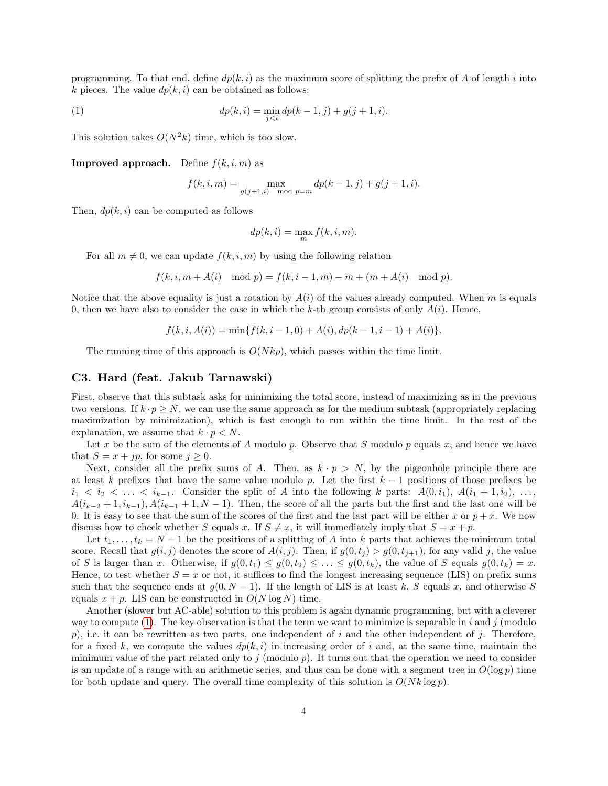programming. To that end, define  $dp(k, i)$  as the maximum score of splitting the prefix of A of length i into k pieces. The value  $dp(k, i)$  can be obtained as follows:

(1) 
$$
dp(k, i) = \min_{j < i} dp(k - 1, j) + g(j + 1, i).
$$

This solution takes  $O(N^2k)$  time, which is too slow.

**Improved approach.** Define  $f(k, i, m)$  as

<span id="page-3-0"></span>
$$
f(k, i, m) = \max_{g(j+1,i) \mod p=m} dp(k-1, j) + g(j+1, i).
$$

Then,  $dp(k, i)$  can be computed as follows

$$
dp(k, i) = \max_{m} f(k, i, m).
$$

For all  $m \neq 0$ , we can update  $f(k, i, m)$  by using the following relation

$$
f(k, i, m + A(i) \mod p) = f(k, i - 1, m) - m + (m + A(i) \mod p).
$$

Notice that the above equality is just a rotation by  $A(i)$  of the values already computed. When m is equals 0, then we have also to consider the case in which the k-th group consists of only  $A(i)$ . Hence,

$$
f(k, i, A(i)) = \min\{f(k, i - 1, 0) + A(i), dp(k - 1, i - 1) + A(i)\}.
$$

The running time of this approach is  $O(N k p)$ , which passes within the time limit.

### C3. Hard (feat. Jakub Tarnawski)

First, observe that this subtask asks for minimizing the total score, instead of maximizing as in the previous two versions. If  $k \cdot p \geq N$ , we can use the same approach as for the medium subtask (appropriately replacing maximization by minimization), which is fast enough to run within the time limit. In the rest of the explanation, we assume that  $k \cdot p \langle N$ .

Let x be the sum of the elements of A modulo p. Observe that S modulo p equals x, and hence we have that  $S = x + jp$ , for some  $j \geq 0$ .

Next, consider all the prefix sums of A. Then, as  $k \cdot p > N$ , by the pigeonhole principle there are at least k prefixes that have the same value modulo p. Let the first  $k - 1$  positions of those prefixes be  $i_1 < i_2 < \ldots < i_{k-1}$ . Consider the split of A into the following k parts:  $A(0, i_1), A(i_1 + 1, i_2), \ldots$  $A(i_{k-2}+1,i_{k-1}), A(i_{k-1}+1,N-1)$ . Then, the score of all the parts but the first and the last one will be 0. It is easy to see that the sum of the scores of the first and the last part will be either x or  $p + x$ . We now discuss how to check whether S equals x. If  $S \neq x$ , it will immediately imply that  $S = x + p$ .

Let  $t_1, \ldots, t_k = N - 1$  be the positions of a splitting of A into k parts that achieves the minimum total score. Recall that  $g(i, j)$  denotes the score of  $A(i, j)$ . Then, if  $g(0, t_j) > g(0, t_{j+1})$ , for any valid j, the value of S is larger than x. Otherwise, if  $g(0, t_1) \leq g(0, t_2) \leq \ldots \leq g(0, t_k)$ , the value of S equals  $g(0, t_k) = x$ . Hence, to test whether  $S = x$  or not, it suffices to find the longest increasing sequence (LIS) on prefix sums such that the sequence ends at  $g(0, N-1)$ . If the length of LIS is at least k, S equals x, and otherwise S equals  $x + p$ . LIS can be constructed in  $O(N \log N)$  time.

Another (slower but AC-able) solution to this problem is again dynamic programming, but with a cleverer way to compute [\(1\)](#page-3-0). The key observation is that the term we want to minimize is separable in i and j (modulo p), i.e. it can be rewritten as two parts, one independent of i and the other independent of i. Therefore, for a fixed k, we compute the values  $dp(k, i)$  in increasing order of i and, at the same time, maintain the minimum value of the part related only to j (modulo  $p$ ). It turns out that the operation we need to consider is an update of a range with an arithmetic series, and thus can be done with a segment tree in  $O(\log p)$  time for both update and query. The overall time complexity of this solution is  $O(Nk \log p)$ .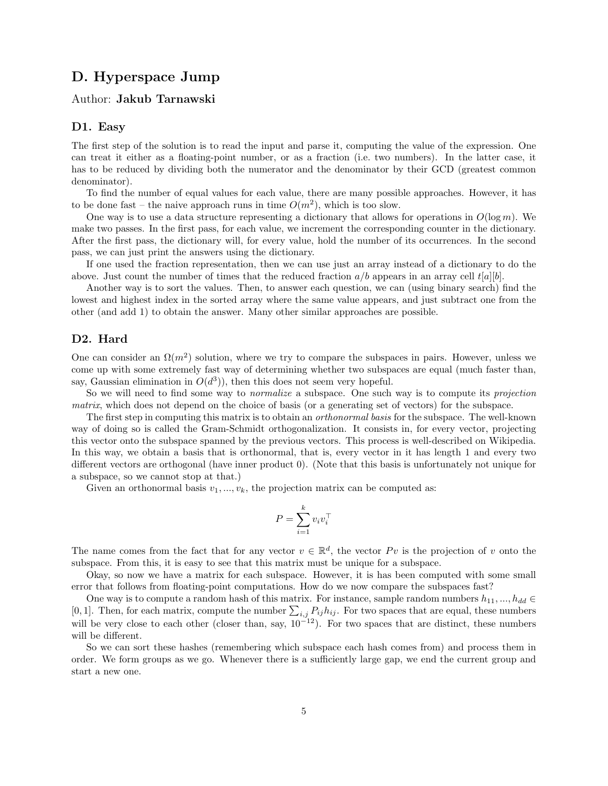# D. Hyperspace Jump

### Author: Jakub Tarnawski

#### D1. Easy

The first step of the solution is to read the input and parse it, computing the value of the expression. One can treat it either as a floating-point number, or as a fraction (i.e. two numbers). In the latter case, it has to be reduced by dividing both the numerator and the denominator by their GCD (greatest common denominator).

To find the number of equal values for each value, there are many possible approaches. However, it has to be done fast – the naive approach runs in time  $O(m^2)$ , which is too slow.

One way is to use a data structure representing a dictionary that allows for operations in  $O(\log m)$ . We make two passes. In the first pass, for each value, we increment the corresponding counter in the dictionary. After the first pass, the dictionary will, for every value, hold the number of its occurrences. In the second pass, we can just print the answers using the dictionary.

If one used the fraction representation, then we can use just an array instead of a dictionary to do the above. Just count the number of times that the reduced fraction  $a/b$  appears in an array cell  $t[a][b]$ .

Another way is to sort the values. Then, to answer each question, we can (using binary search) find the lowest and highest index in the sorted array where the same value appears, and just subtract one from the other (and add 1) to obtain the answer. Many other similar approaches are possible.

### D2. Hard

One can consider an  $\Omega(m^2)$  solution, where we try to compare the subspaces in pairs. However, unless we come up with some extremely fast way of determining whether two subspaces are equal (much faster than, say, Gaussian elimination in  $O(d^3)$ , then this does not seem very hopeful.

So we will need to find some way to *normalize* a subspace. One such way is to compute its *projection* matrix, which does not depend on the choice of basis (or a generating set of vectors) for the subspace.

The first step in computing this matrix is to obtain an *orthonormal basis* for the subspace. The well-known way of doing so is called the Gram-Schmidt orthogonalization. It consists in, for every vector, projecting this vector onto the subspace spanned by the previous vectors. This process is well-described on Wikipedia. In this way, we obtain a basis that is orthonormal, that is, every vector in it has length 1 and every two different vectors are orthogonal (have inner product 0). (Note that this basis is unfortunately not unique for a subspace, so we cannot stop at that.)

Given an orthonormal basis  $v_1, ..., v_k$ , the projection matrix can be computed as:

$$
P = \sum_{i=1}^{k} v_i v_i^{\top}
$$

The name comes from the fact that for any vector  $v \in \mathbb{R}^d$ , the vector Pv is the projection of v onto the subspace. From this, it is easy to see that this matrix must be unique for a subspace.

Okay, so now we have a matrix for each subspace. However, it is has been computed with some small error that follows from floating-point computations. How do we now compare the subspaces fast?

One way is to compute a random hash of this matrix. For instance, sample random numbers  $h_{11},..., h_{dd} \in$ [0, 1]. Then, for each matrix, compute the number  $\sum_{i,j} P_{ij} h_{ij}$ . For two spaces that are equal, these numbers will be very close to each other (closer than, say,  $10^{-12}$ ). For two spaces that are distinct, these numbers will be different.

So we can sort these hashes (remembering which subspace each hash comes from) and process them in order. We form groups as we go. Whenever there is a sufficiently large gap, we end the current group and start a new one.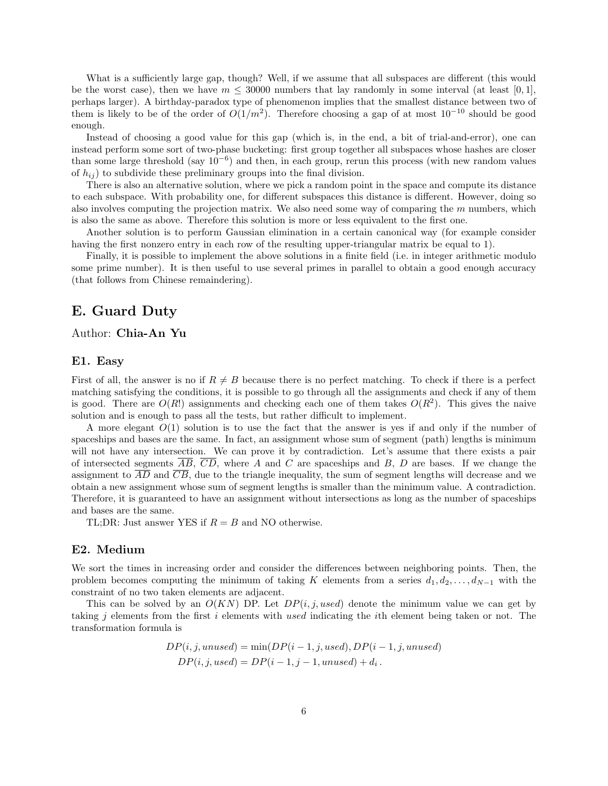What is a sufficiently large gap, though? Well, if we assume that all subspaces are different (this would be the worst case), then we have  $m \leq 30000$  numbers that lay randomly in some interval (at least [0, 1], perhaps larger). A birthday-paradox type of phenomenon implies that the smallest distance between two of them is likely to be of the order of  $O(1/m^2)$ . Therefore choosing a gap of at most  $10^{-10}$  should be good enough.

Instead of choosing a good value for this gap (which is, in the end, a bit of trial-and-error), one can instead perform some sort of two-phase bucketing: first group together all subspaces whose hashes are closer than some large threshold (say  $10^{-6}$ ) and then, in each group, rerun this process (with new random values of  $h_{ij}$ ) to subdivide these preliminary groups into the final division.

There is also an alternative solution, where we pick a random point in the space and compute its distance to each subspace. With probability one, for different subspaces this distance is different. However, doing so also involves computing the projection matrix. We also need some way of comparing the m numbers, which is also the same as above. Therefore this solution is more or less equivalent to the first one.

Another solution is to perform Gaussian elimination in a certain canonical way (for example consider having the first nonzero entry in each row of the resulting upper-triangular matrix be equal to 1).

Finally, it is possible to implement the above solutions in a finite field (i.e. in integer arithmetic modulo some prime number). It is then useful to use several primes in parallel to obtain a good enough accuracy (that follows from Chinese remaindering).

## E. Guard Duty

### Author: Chia-An Yu

#### E1. Easy

First of all, the answer is no if  $R \neq B$  because there is no perfect matching. To check if there is a perfect matching satisfying the conditions, it is possible to go through all the assignments and check if any of them is good. There are  $O(R!)$  assignments and checking each one of them takes  $O(R^2)$ . This gives the naive solution and is enough to pass all the tests, but rather difficult to implement.

A more elegant  $O(1)$  solution is to use the fact that the answer is yes if and only if the number of spaceships and bases are the same. In fact, an assignment whose sum of segment (path) lengths is minimum will not have any intersection. We can prove it by contradiction. Let's assume that there exists a pair of intersected segments  $\overline{AB}$ ,  $\overline{CD}$ , where A and C are spaceships and B, D are bases. If we change the assignment to  $\overline{AD}$  and  $\overline{CB}$ , due to the triangle inequality, the sum of segment lengths will decrease and we obtain a new assignment whose sum of segment lengths is smaller than the minimum value. A contradiction. Therefore, it is guaranteed to have an assignment without intersections as long as the number of spaceships and bases are the same.

TL;DR: Just answer YES if  $R = B$  and NO otherwise.

#### E2. Medium

We sort the times in increasing order and consider the differences between neighboring points. Then, the problem becomes computing the minimum of taking K elements from a series  $d_1, d_2, \ldots, d_{N-1}$  with the constraint of no two taken elements are adjacent.

This can be solved by an  $O(KN)$  DP. Let  $DP(i, j, used)$  denote the minimum value we can get by taking j elements from the first i elements with used indicating the ith element being taken or not. The transformation formula is

$$
DP(i, j, unused) = min(DP(i - 1, j, used), DP(i - 1, j, unused)
$$
  

$$
DP(i, j, used) = DP(i - 1, j - 1, unused) + d_i.
$$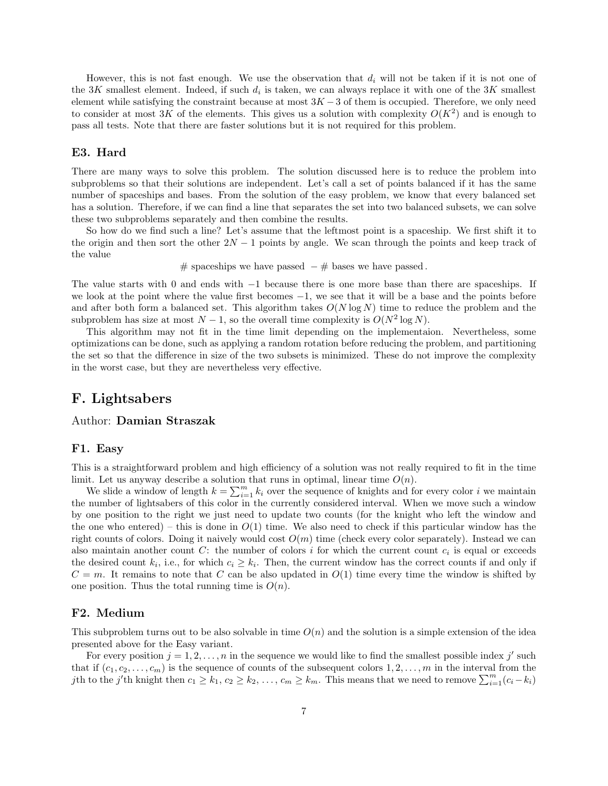However, this is not fast enough. We use the observation that  $d_i$  will not be taken if it is not one of the 3K smallest element. Indeed, if such  $d_i$  is taken, we can always replace it with one of the 3K smallest element while satisfying the constraint because at most  $3K - 3$  of them is occupied. Therefore, we only need to consider at most 3K of the elements. This gives us a solution with complexity  $O(K^2)$  and is enough to pass all tests. Note that there are faster solutions but it is not required for this problem.

### E3. Hard

There are many ways to solve this problem. The solution discussed here is to reduce the problem into subproblems so that their solutions are independent. Let's call a set of points balanced if it has the same number of spaceships and bases. From the solution of the easy problem, we know that every balanced set has a solution. Therefore, if we can find a line that separates the set into two balanced subsets, we can solve these two subproblems separately and then combine the results.

So how do we find such a line? Let's assume that the leftmost point is a spaceship. We first shift it to the origin and then sort the other  $2N - 1$  points by angle. We scan through the points and keep track of the value

# spaceships we have passed  $-$  # bases we have passed.

The value starts with 0 and ends with −1 because there is one more base than there are spaceships. If we look at the point where the value first becomes  $-1$ , we see that it will be a base and the points before and after both form a balanced set. This algorithm takes  $O(N \log N)$  time to reduce the problem and the subproblem has size at most  $N-1$ , so the overall time complexity is  $O(N^2 \log N)$ .

This algorithm may not fit in the time limit depending on the implementaion. Nevertheless, some optimizations can be done, such as applying a random rotation before reducing the problem, and partitioning the set so that the difference in size of the two subsets is minimized. These do not improve the complexity in the worst case, but they are nevertheless very effective.

### F. Lightsabers

### Author: Damian Straszak

### F1. Easy

This is a straightforward problem and high efficiency of a solution was not really required to fit in the time limit. Let us anyway describe a solution that runs in optimal, linear time  $O(n)$ .

We slide a window of length  $k = \sum_{i=1}^{m} k_i$  over the sequence of knights and for every color i we maintain the number of lightsabers of this color in the currently considered interval. When we move such a window by one position to the right we just need to update two counts (for the knight who left the window and the one who entered) – this is done in  $O(1)$  time. We also need to check if this particular window has the right counts of colors. Doing it naively would cost  $O(m)$  time (check every color separately). Instead we can also maintain another count  $C$ : the number of colors i for which the current count  $c_i$  is equal or exceeds the desired count  $k_i$ , i.e., for which  $c_i \geq k_i$ . Then, the current window has the correct counts if and only if  $C = m$ . It remains to note that C can be also updated in  $O(1)$  time every time the window is shifted by one position. Thus the total running time is  $O(n)$ .

### F2. Medium

This subproblem turns out to be also solvable in time  $O(n)$  and the solution is a simple extension of the idea presented above for the Easy variant.

For every position  $j = 1, 2, ..., n$  in the sequence we would like to find the smallest possible index j' such that if  $(c_1, c_2, \ldots, c_m)$  is the sequence of counts of the subsequent colors  $1, 2, \ldots, m$  in the interval from the jth to the j'th knight then  $c_1 \geq k_1, c_2 \geq k_2, \ldots, c_m \geq k_m$ . This means that we need to remove  $\sum_{i=1}^m (c_i - k_i)$